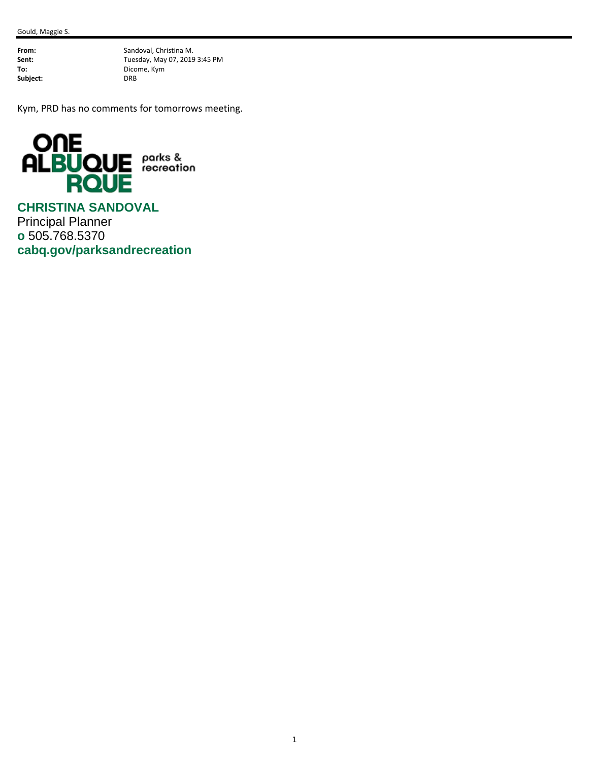Subject:

**From:** Sandoval, Christina M.<br>**Sent:** Tuesday, May 07, 2019 **Sent:** Tuesday, May 07, 2019 3:45 PM<br> **To:** Dicome, Kym **To:** Dicome, Kym

Kym, PRD has no comments for tomorrows meeting.



**CHRISTINA SANDOVAL**  Principal Planner **o** 505.768.5370 **cabq.gov/parksandrecreation**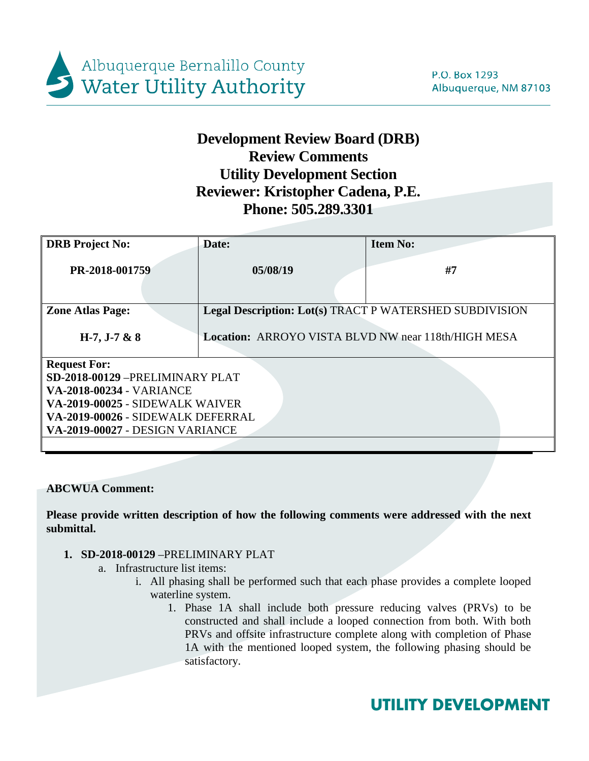

# **Development Review Board (DRB) Review Comments Utility Development Section Reviewer: Kristopher Cadena, P.E. Phone: 505.289.3301**

| <b>DRB</b> Project No:                                                                                                                                                                              | Date:                                                          | <b>Item No:</b> |  |  |  |
|-----------------------------------------------------------------------------------------------------------------------------------------------------------------------------------------------------|----------------------------------------------------------------|-----------------|--|--|--|
| PR-2018-001759                                                                                                                                                                                      | 05/08/19                                                       | #7              |  |  |  |
| <b>Zone Atlas Page:</b>                                                                                                                                                                             | <b>Legal Description: Lot(s) TRACT P WATERSHED SUBDIVISION</b> |                 |  |  |  |
| $H-7, J-7 & 88$                                                                                                                                                                                     | Location: ARROYO VISTA BLVD NW near 118th/HIGH MESA            |                 |  |  |  |
| <b>Request For:</b><br>SD-2018-00129-PRELIMINARY PLAT<br><b>VA-2018-00234 - VARIANCE</b><br>VA-2019-00025 - SIDEWALK WAIVER<br>VA-2019-00026 - SIDEWALK DEFERRAL<br>VA-2019-00027 - DESIGN VARIANCE |                                                                |                 |  |  |  |
|                                                                                                                                                                                                     |                                                                |                 |  |  |  |

**ABCWUA Comment:**

**Please provide written description of how the following comments were addressed with the next submittal.**

- **1. SD-2018-00129** –PRELIMINARY PLAT
	- a. Infrastructure list items:
		- i. All phasing shall be performed such that each phase provides a complete looped waterline system.
			- 1. Phase 1A shall include both pressure reducing valves (PRVs) to be constructed and shall include a looped connection from both. With both PRVs and offsite infrastructure complete along with completion of Phase 1A with the mentioned looped system, the following phasing should be satisfactory.

# **UTILITY DEVELOPMENT**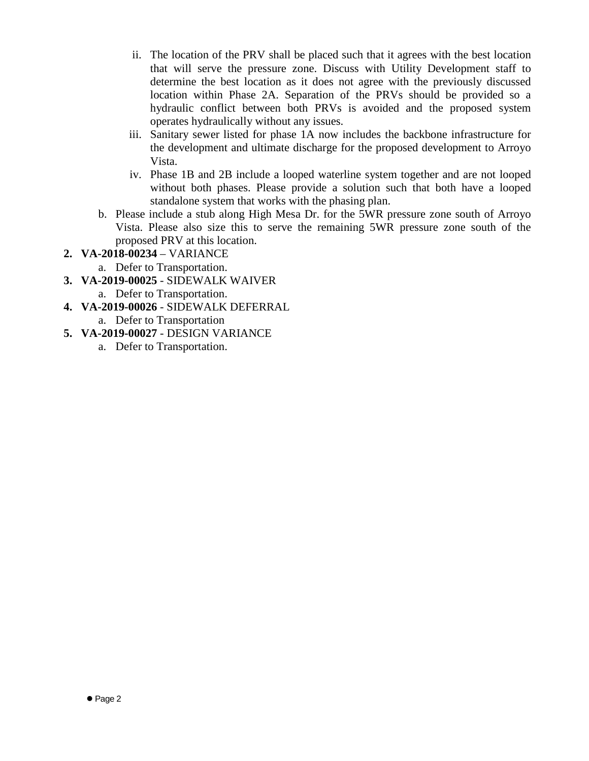- ii. The location of the PRV shall be placed such that it agrees with the best location that will serve the pressure zone. Discuss with Utility Development staff to determine the best location as it does not agree with the previously discussed location within Phase 2A. Separation of the PRVs should be provided so a hydraulic conflict between both PRVs is avoided and the proposed system operates hydraulically without any issues.
- iii. Sanitary sewer listed for phase 1A now includes the backbone infrastructure for the development and ultimate discharge for the proposed development to Arroyo Vista.
- iv. Phase 1B and 2B include a looped waterline system together and are not looped without both phases. Please provide a solution such that both have a looped standalone system that works with the phasing plan.
- b. Please include a stub along High Mesa Dr. for the 5WR pressure zone south of Arroyo Vista. Please also size this to serve the remaining 5WR pressure zone south of the proposed PRV at this location.
- **2. VA-2018-00234**  VARIANCE
	- a. Defer to Transportation.
- **3. VA-2019-00025**  SIDEWALK WAIVER
	- a. Defer to Transportation.
- **4. VA-2019-00026**  SIDEWALK DEFERRAL
	- a. Defer to Transportation
- **5. VA-2019-00027**  DESIGN VARIANCE
	- a. Defer to Transportation.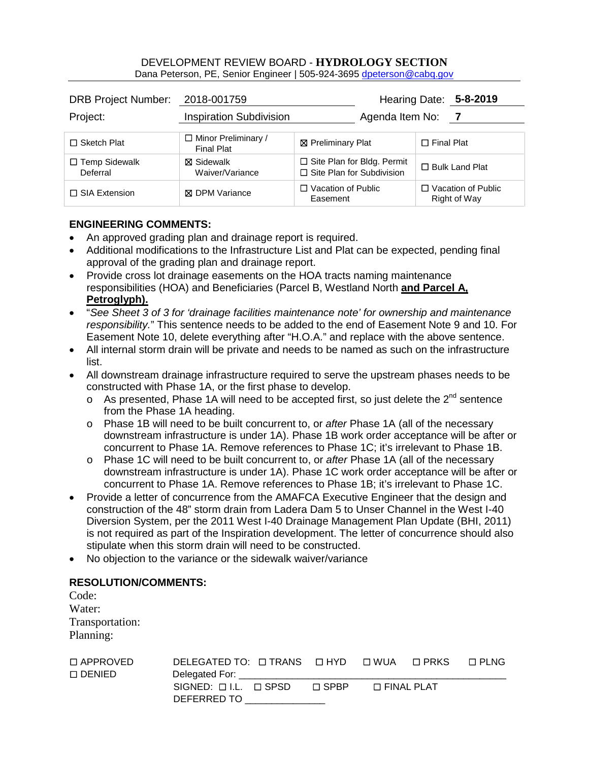#### DEVELOPMENT REVIEW BOARD - **HYDROLOGY SECTION** Dana Peterson, PE, Senior Engineer | 505-924-3695 [dpeterson@cabq.gov](mailto:rbrissette@cabq.gov)

| DRB Project Number: 2018-001759  |                                                 |                                                                       | Hearing Date: 5-8-2019                    |
|----------------------------------|-------------------------------------------------|-----------------------------------------------------------------------|-------------------------------------------|
| Project:                         | <b>Inspiration Subdivision</b>                  | Agenda Item No:                                                       | $\overline{7}$                            |
| $\Box$ Sketch Plat               | $\Box$ Minor Preliminary /<br><b>Final Plat</b> | <b>⊠</b> Preliminary Plat                                             | $\Box$ Final Plat                         |
| $\Box$ Temp Sidewalk<br>Deferral | <b>冈 Sidewalk</b><br>Waiver/Variance            | $\Box$ Site Plan for Bldg. Permit<br>$\Box$ Site Plan for Subdivision | $\Box$ Bulk Land Plat                     |
| $\Box$ SIA Extension             | <b>X</b> DPM Variance                           | $\Box$ Vacation of Public<br>Easement                                 | $\Box$ Vacation of Public<br>Right of Way |

### **ENGINEERING COMMENTS:**

- An approved grading plan and drainage report is required.
- Additional modifications to the Infrastructure List and Plat can be expected, pending final approval of the grading plan and drainage report.
- Provide cross lot drainage easements on the HOA tracts naming maintenance responsibilities (HOA) and Beneficiaries (Parcel B, Westland North **and Parcel A, Petroglyph).**
- "*See Sheet 3 of 3 for 'drainage facilities maintenance note' for ownership and maintenance responsibility.*" This sentence needs to be added to the end of Easement Note 9 and 10. For Easement Note 10, delete everything after "H.O.A." and replace with the above sentence.
- All internal storm drain will be private and needs to be named as such on the infrastructure list.
- All downstream drainage infrastructure required to serve the upstream phases needs to be constructed with Phase 1A, or the first phase to develop.
	- $\circ$  As presented, Phase 1A will need to be accepted first, so just delete the 2<sup>nd</sup> sentence from the Phase 1A heading.
	- o Phase 1B will need to be built concurrent to, or *after* Phase 1A (all of the necessary downstream infrastructure is under 1A). Phase 1B work order acceptance will be after or concurrent to Phase 1A. Remove references to Phase 1C; it's irrelevant to Phase 1B.
	- o Phase 1C will need to be built concurrent to, or *after* Phase 1A (all of the necessary downstream infrastructure is under 1A). Phase 1C work order acceptance will be after or concurrent to Phase 1A. Remove references to Phase 1B; it's irrelevant to Phase 1C.
- Provide a letter of concurrence from the AMAFCA Executive Engineer that the design and construction of the 48" storm drain from Ladera Dam 5 to Unser Channel in the West I-40 Diversion System, per the 2011 West I-40 Drainage Management Plan Update (BHI, 2011) is not required as part of the Inspiration development. The letter of concurrence should also stipulate when this storm drain will need to be constructed.
- No objection to the variance or the sidewalk waiver/variance

## **RESOLUTION/COMMENTS:**

| Code:           |  |  |
|-----------------|--|--|
| Water:          |  |  |
| Transportation: |  |  |
| Planning:       |  |  |
|                 |  |  |

| □ APPROVED | DELEGATED TO: $\Box$ TRANS $\Box$ HYD $\Box$ WUA |        |              | $\Box$ PRKS | $\Box$ PLNG |
|------------|--------------------------------------------------|--------|--------------|-------------|-------------|
| □ DENIED   |                                                  |        |              |             |             |
|            | $SIGNED: \Box LL. \Box SPSD$                     | □ SPBP | □ FINAL PLAT |             |             |
|            | DEFERRED TO                                      |        |              |             |             |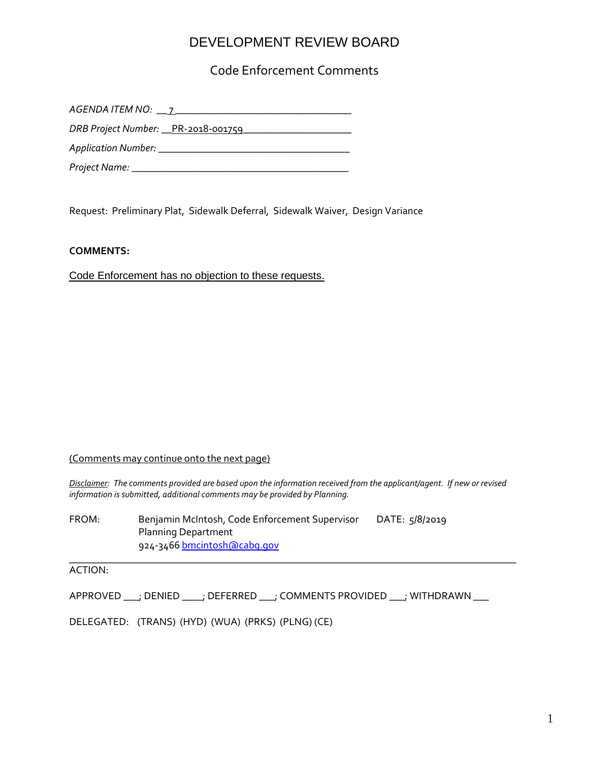## DEVELOPMENT REVIEW BOARD

Code Enforcement Comments

*AGENDA ITEM NO:* \_\_ 7 \_\_\_\_\_\_\_\_\_\_\_\_\_\_\_\_\_\_\_\_\_\_\_\_\_\_\_\_\_\_\_\_\_\_

*DRB Project Number:* \_\_PR-2018-001759\_\_\_\_\_\_\_\_\_\_\_\_\_\_\_\_\_\_\_\_\_

*Application Number: \_\_\_\_\_\_\_\_\_\_\_\_\_\_\_\_\_\_\_\_\_\_\_\_\_\_\_\_\_\_\_\_\_\_\_\_\_*

*Project Name: \_\_\_\_\_\_\_\_\_\_\_\_\_\_\_\_\_\_\_\_\_\_\_\_\_\_\_\_\_\_\_\_\_\_\_\_\_\_\_\_\_\_*

Request: Preliminary Plat, Sidewalk Deferral, Sidewalk Waiver, Design Variance

#### **COMMENTS:**

Code Enforcement has no objection to these requests.

#### (Comments may continue onto the next page)

*Disclaimer: The comments provided are based upon the information received from the applicant/agent. If new or revised information is submitted, additional comments may be provided by Planning.* 

FROM: Benjamin McIntosh, Code Enforcement Supervisor DATE: 5/8/2019 Planning Department 924-3466 [bmcintosh@cabq.gov](mailto:bmcintosh@cabq.gov) \_\_\_\_\_\_\_\_\_\_\_\_\_\_\_\_\_\_\_\_\_\_\_\_\_\_\_\_\_\_\_\_\_\_\_\_\_\_\_\_\_\_\_\_\_\_\_\_\_\_\_\_\_\_\_\_\_\_\_\_\_\_\_\_\_\_\_\_\_\_\_\_\_\_\_\_

ACTION:

APPROVED \_\_\_; DENIED \_\_\_\_; DEFERRED \_\_\_; COMMENTS PROVIDED \_\_\_; WITHDRAWN \_\_\_

DELEGATED: (TRANS) (HYD) (WUA) (PRKS) (PLNG) (CE)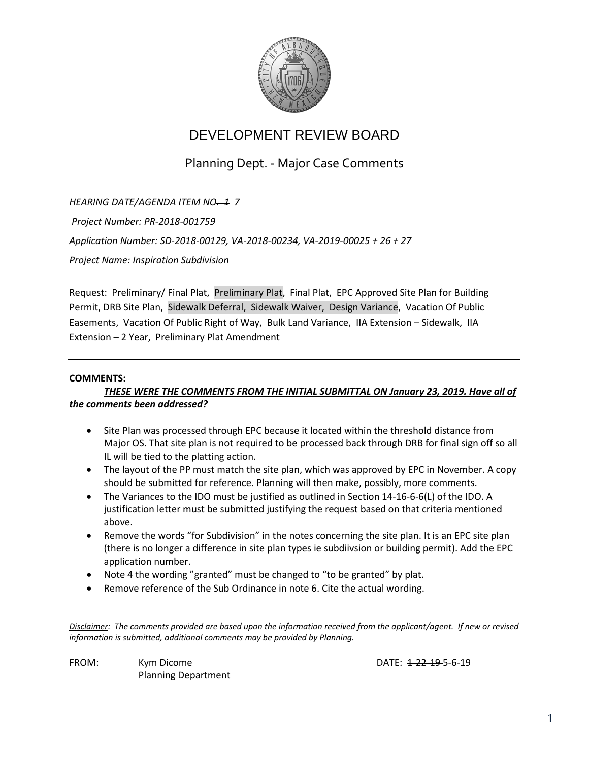

# DEVELOPMENT REVIEW BOARD

Planning Dept. - Major Case Comments

*HEARING DATE/AGENDA ITEM NO. 1 7 Project Number: PR-2018-001759 Application Number: SD-2018-00129, VA-2018-00234, VA-2019-00025 + 26 + 27 Project Name: Inspiration Subdivision*

Request: Preliminary/ Final Plat, Preliminary Plat, Final Plat, EPC Approved Site Plan for Building Permit, DRB Site Plan, Sidewalk Deferral, Sidewalk Waiver, Design Variance, Vacation Of Public Easements, Vacation Of Public Right of Way, Bulk Land Variance, IIA Extension – Sidewalk, IIA Extension – 2 Year, Preliminary Plat Amendment

#### **COMMENTS:**

### *THESE WERE THE COMMENTS FROM THE INITIAL SUBMITTAL ON January 23, 2019. Have all of the comments been addressed?*

- Site Plan was processed through EPC because it located within the threshold distance from Major OS. That site plan is not required to be processed back through DRB for final sign off so all IL will be tied to the platting action.
- The layout of the PP must match the site plan, which was approved by EPC in November. A copy should be submitted for reference. Planning will then make, possibly, more comments.
- The Variances to the IDO must be justified as outlined in Section 14-16-6-6(L) of the IDO. A justification letter must be submitted justifying the request based on that criteria mentioned above.
- Remove the words "for Subdivision" in the notes concerning the site plan. It is an EPC site plan (there is no longer a difference in site plan types ie subdiivsion or building permit). Add the EPC application number.
- Note 4 the wording "granted" must be changed to "to be granted" by plat.
- Remove reference of the Sub Ordinance in note 6. Cite the actual wording.

*Disclaimer: The comments provided are based upon the information received from the applicant/agent. If new or revised information is submitted, additional comments may be provided by Planning.* 

FROM: Kym Dicome **Canadian Communist Communist Communist Communist Communist Communist Communist Communist Communist Communist Communist Communist Communist Communist Communist Communist Communist Communist Communist Commu** Planning Department